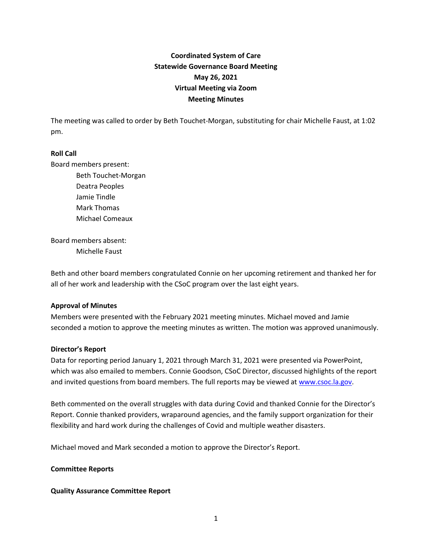# **Coordinated System of Care Statewide Governance Board Meeting May 26, 2021 Virtual Meeting via Zoom Meeting Minutes**

The meeting was called to order by Beth Touchet-Morgan, substituting for chair Michelle Faust, at 1:02 pm.

# **Roll Call**

Board members present:

Beth Touchet-Morgan Deatra Peoples Jamie Tindle Mark Thomas Michael Comeaux

Board members absent: Michelle Faust

Beth and other board members congratulated Connie on her upcoming retirement and thanked her for all of her work and leadership with the CSoC program over the last eight years.

# **Approval of Minutes**

Members were presented with the February 2021 meeting minutes. Michael moved and Jamie seconded a motion to approve the meeting minutes as written. The motion was approved unanimously.

### **Director's Report**

Data for reporting period January 1, 2021 through March 31, 2021 were presented via PowerPoint, which was also emailed to members. Connie Goodson, CSoC Director, discussed highlights of the report and invited questions from board members. The full reports may be viewed a[t www.csoc.la.gov.](http://www.csoc.la.gov/)

Beth commented on the overall struggles with data during Covid and thanked Connie for the Director's Report. Connie thanked providers, wraparound agencies, and the family support organization for their flexibility and hard work during the challenges of Covid and multiple weather disasters.

Michael moved and Mark seconded a motion to approve the Director's Report.

# **Committee Reports**

### **Quality Assurance Committee Report**